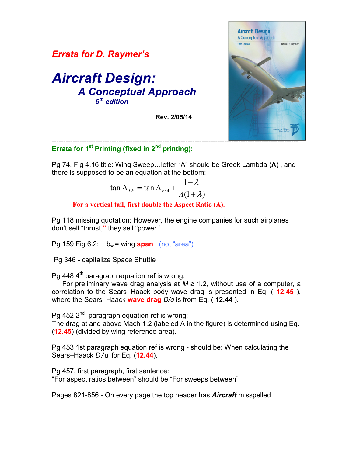



## ----------------------------------------------------------------------------------------------------------- **Errata for 1st Printing (fixed in 2nd printing):**

Pg 74, Fig 4.16 title: Wing Sweep…letter "A" should be Greek Lambda (**Λ**) , and there is supposed to be an equation at the bottom:

$$
\tan \Lambda_{LE} = \tan \Lambda_{c/4} + \frac{1 - \lambda}{A(1 + \lambda)}
$$

 **For a vertical tail, first double the Aspect Ratio (A).** 

Pg 118 missing quotation: However, the engine companies for such airplanes don't sell "thrust,**"** they sell "power."

Pg 159 Fig 6.2:  $b_w =$  wing **span** (not "area")

Pg 346 - capitalize Space Shuttle

Pg 448  $4<sup>th</sup>$  paragraph equation ref is wrong:

For preliminary wave drag analysis at  $M \geq 1.2$ , without use of a computer, a correlation to the Sears–Haack body wave drag is presented in Eq. ( **12.45** ), where the Sears–Haack **wave drag** *D/q* is from Eq. ( **12.44** ).

Pg 452  $2^{nd}$  paragraph equation ref is wrong:

The drag at and above Mach 1.2 (labeled A in the figure) is determined using Eq. (**12.45**) (divided by wing reference area).

Pg 453 1st paragraph equation ref is wrong - should be: When calculating the Sears–Haack *D / q* for Eq. (**12.44**),

Pg 457, first paragraph, first sentence: "For aspect ratios between" should be "For sweeps between"

Pages 821-856 - On every page the top header has *Aircraft* misspelled